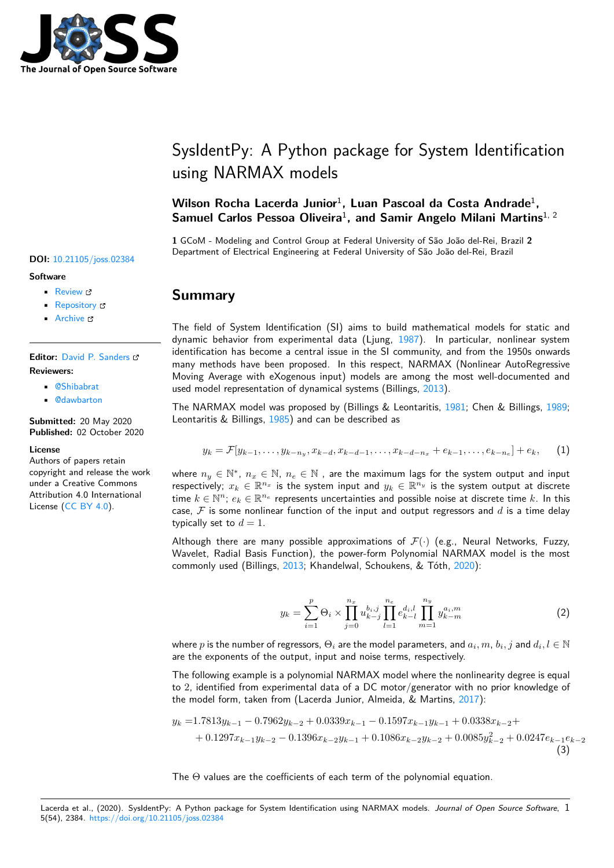

# SysIdentPy: A Python package for System Identification using NARMAX models

## **Wilson Rocha Lacerda Junior**<sup>1</sup> **, Luan Pascoal da Costa Andrade**<sup>1</sup> **,** Samuel Carlos Pessoa Oliveira<sup>1</sup>, and Samir Angelo Milani Martins<sup>1, 2</sup>

**1** GCoM - Modeling and Control Group at Federal University of São João del-Rei, Brazil **2** Department of Electrical Engineering at Federal University of São João del-Rei, Brazil

## **Summary**

The field of System Identification (SI) aims to build mathematical models for static and dynamic behavior from experimental data (Ljung, 1987). In particular, nonlinear system identification has become a central issue in the SI community, and from the 1950s onwards many methods have been proposed. In this respect, NARMAX (Nonlinear AutoRegressive Moving Average with eXogenous input) models are among the most well-documented and used model representation of dynamical systems (Bil[lings,](#page-5-0) 2013).

The NARMAX model was proposed by (Billings & Leontaritis, 1981; Chen & Billings, 1989; Leontaritis & Billings, 1985) and can be described as

$$
y_k = \mathcal{F}[y_{k-1}, \ldots, y_{k-n_y}, x_{k-d}, x_{k-d-1}, \ldots, x_{k-d-n_x} + e_{k-1}, \ldots, e_{k-n_e}] + e_k, \qquad (1)
$$

where  $n_y \in \mathbb{N}^*$  $n_y \in \mathbb{N}^*$  $n_y \in \mathbb{N}^*$ ,  $n_x \in \mathbb{N}$ ,  $n_e \in \mathbb{N}$  , are the maximum lags for the system output and input respectively;  $x_k \in \mathbb{R}^{n_x}$  is the system input and  $y_k \in \mathbb{R}^{n_y}$  is the system output at discrete time  $k \in \mathbb{N}^n$ ;  $e_k \in \mathbb{R}^{n_e}$  represents uncertainties and possible noise at discrete time  $k$ . In this case,  $\mathcal F$  is some nonlinear function of the input and output regressors and  $d$  is a time delay typically set to  $d = 1$ .

Although there are many possible approximations of  $\mathcal{F}(\cdot)$  (e.g., Neural Networks, Fuzzy, Wavelet, Radial Basis Function), the power-form Polynomial NARMAX model is the most commonly used (Billings, 2013; Khandelwal, Schoukens, & Tóth, 2020):

$$
y_k = \sum_{i=1}^p \Theta_i \times \prod_{j=0}^{n_x} u_{k-j}^{b_{i,j}} \prod_{l=1}^{n_e} e_{k-l}^{d_i, l} \prod_{m=1}^{n_y} y_{k-m}^{a_i, m}
$$
(2)

where  $p$  is the number of regressors,  $\Theta_i$  are the model parameters, and  $a_i, m, b_i, j$  and  $d_i, l \in \mathbb{N}$ are the exponents of the output, input and noise terms, respectively.

The following example is a polynomial NARMAX model where the nonlinearity degree is equal to 2, identified from experimental data of a DC motor/generator with no prior knowledge of the model form, taken from (Lacerda Junior, Almeida, & Martins, 2017):

$$
y_k = 1.7813y_{k-1} - 0.7962y_{k-2} + 0.0339x_{k-1} - 0.1597x_{k-1}y_{k-1} + 0.0338x_{k-2} +
$$
  
+ 0.1297x\_{k-1}y\_{k-2} - 0.1396x\_{k-2}y\_{k-1} + 0.1086x\_{k-2}y\_{k-2} + 0.0085y\_{k-2}^2 + 0.0247e\_{k-1}e\_{k-2} (3)

The  $\Theta$  values are the coefficients of each term of the polynomial equation.

#### Lacerda et al., (2020). SysIdentPy: A Python package for System Identification using NARMAX models. *Journal of Open Source Software*, 15(54), 2384. https://doi.org/10.21105/joss.02384

### **DOI:** 10.21105/joss.02384

#### **Software**

- Review C
- [Repository](https://doi.org/10.21105/joss.02384) &
- Archive

### **Editor:** [David P.](https://github.com/wilsonrljr/sysidentpy) Sanders

#### **Revie[wers:](https://doi.org/10.5281/zenodo.4026516)**

- @Shibabrat
- @[dawbarton](http://sistemas.fciencias.unam.mx/~dsanders)

**Submitted:** 20 May 2020 **Published:** [02 Oc](https://github.com/Shibabrat)tober 2020

#### **License**

Autho[rs of papers](https://github.com/dawbarton) retain copyright and release the work under a Creative Commons Attribution 4.0 International License (CC BY 4.0).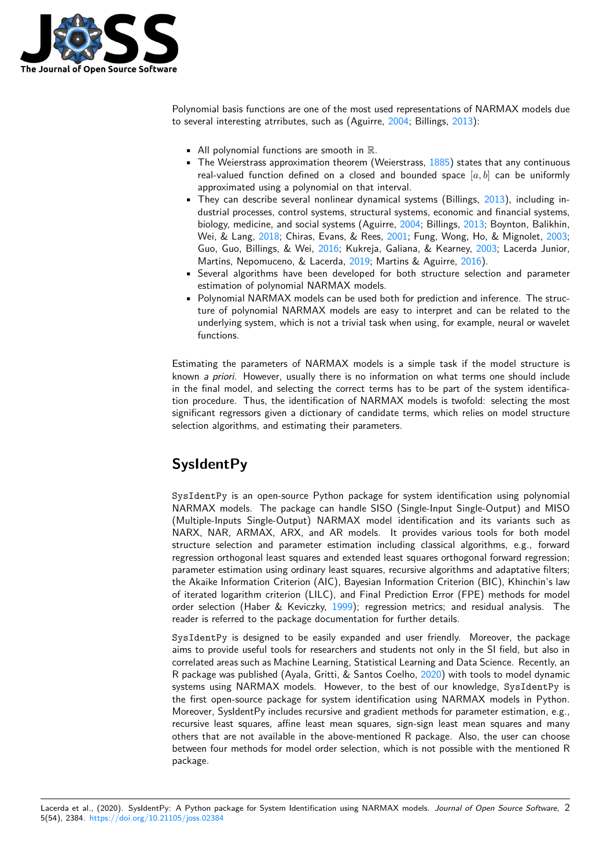

Polynomial basis functions are one of the most used representations of NARMAX models due to several interesting atrributes, such as (Aguirre, 2004; Billings, 2013):

- All polynomial functions are smooth in  $\mathbb{R}$ .
- **•** The Weierstrass approximation theorem (Weierstrass,  $1885$ ) states that any continuous real-valued function defined on a closed a[nd bo](#page-4-6)unded sp[ace](#page-4-0)  $[a, b]$  can be uniformly approximated using a polynomial on that interval.
- They can describe several nonlinear dynamical systems (Billings, 2013), including industrial processes, control systems, structural systems[, econ](#page-5-1)omic and financial systems, biology, medicine, and social systems (Aguirre, 2004; Billings, 2013; Boynton, Balikhin, Wei, & Lang, 2018; Chiras, Evans, & Rees, 2001; Fung, Wong, Ho, & Mignolet, 2003; Guo, Guo, Billings, & Wei, 2016; Kukreja, Galiana, & Kearney, 2[003; L](#page-4-0)acerda Junior, Martins, Nepomuceno, & Lacerda, 2019; Martins & Aguirre, 2016).
- Several algorithms have been developed for [both](#page-4-6) structure [selec](#page-4-0)tion and parameter estimation of [polyn](#page-4-7)omial NARMAX models.
- Polynomial NARMAX mode[ls can](#page-4-10) be used b[oth fo](#page-4-8)r prediction an[d infer](#page-4-11)ence. The [struc](#page-4-9)ture of polynomial NARMAX mod[els ar](#page-4-12)e easy to interpret [and ca](#page-5-2)n be related to the underlying system, which is not a trivial task when using, for example, neural or wavelet functions.

Estimating the parameters of NARMAX models is a simple task if the model structure is known *a priori*. However, usually there is no information on what terms one should include in the final model, and selecting the correct terms has to be part of the system identification procedure. Thus, the identification of NARMAX models is twofold: selecting the most significant regressors given a dictionary of candidate terms, which relies on model structure selection algorithms, and estimating their parameters.

# **SysIdentPy**

SysIdentPy is an open-source Python package for system identification using polynomial NARMAX models. The package can handle SISO (Single-Input Single-Output) and MISO (Multiple-Inputs Single-Output) NARMAX model identification and its variants such as NARX, NAR, ARMAX, ARX, and AR models. It provides various tools for both model structure selection and parameter estimation including classical algorithms, e.g., forward regression orthogonal least squares and extended least squares orthogonal forward regression; parameter estimation using ordinary least squares, recursive algorithms and adaptative filters; the Akaike Information Criterion (AIC), Bayesian Information Criterion (BIC), Khinchin's law of iterated logarithm criterion (LILC), and Final Prediction Error (FPE) methods for model order selection (Haber & Keviczky, 1999); regression metrics; and residual analysis. The reader is referred to the package documentation for further details.

SysIdentPy is designed to be easily expanded and user friendly. Moreover, the package aims to provide useful tools for researchers and students not only in the SI field, but also in correlated areas such as Machine Lear[ning,](#page-4-13) Statistical Learning and Data Science. Recently, an R package was published (Ayala, Gritti, & Santos Coelho, 2020) with tools to model dynamic systems using NARMAX models. However, to the best of our knowledge, SysIdentPy is the first open-source package for system identification using NARMAX models in Python. Moreover, SysIdentPy includes recursive and gradient methods for parameter estimation, e.g., recursive least squares, affine least mean squares, sign-[sign le](#page-4-14)ast mean squares and many others that are not available in the above-mentioned R package. Also, the user can choose between four methods for model order selection, which is not possible with the mentioned R package.

Lacerda et al., (2020). SysIdentPy: A Python package for System Identification using NARMAX models. *Journal of Open Source Software*, 25(54), 2384. https://doi.org/10.21105/joss.02384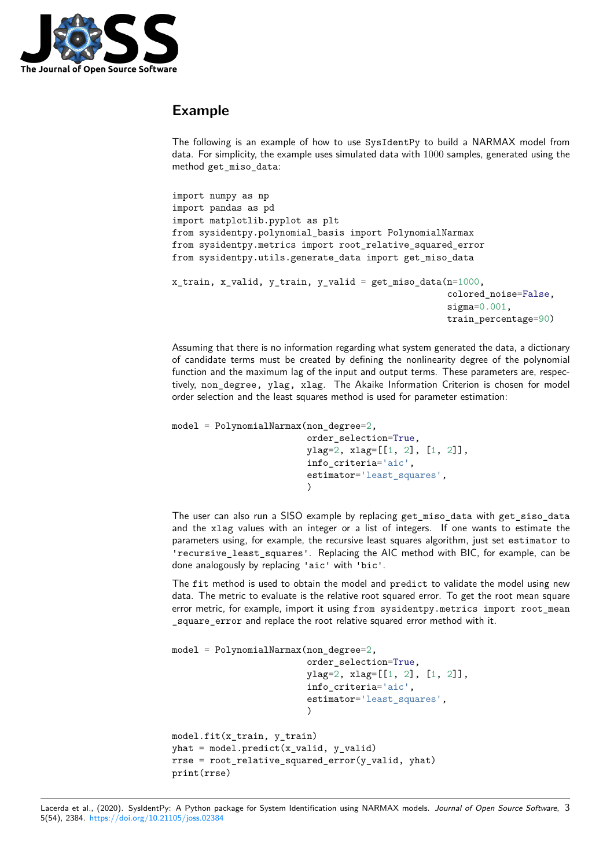

## **Example**

The following is an example of how to use SysIdentPy to build a NARMAX model from data. For simplicity, the example uses simulated data with 1000 samples, generated using the method get\_miso\_data:

```
import numpy as np
import pandas as pd
import matplotlib.pyplot as plt
from sysidentpy.polynomial_basis import PolynomialNarmax
from sysidentpy.metrics import root_relative_squared_error
from sysidentpy.utils.generate_data import get_miso_data
x_train, x_valid, y_train, y_valid = get_miso_data(n=1000,
                                                    colored_noise=False,
                                                    sigma=0.001,
                                                    train_percentage=90)
```
Assuming that there is no information regarding what system generated the data, a dictionary of candidate terms must be created by defining the nonlinearity degree of the polynomial function and the maximum lag of the input and output terms. These parameters are, respectively, non\_degree, ylag, xlag. The Akaike Information Criterion is chosen for model order selection and the least squares method is used for parameter estimation:

```
model = PolynomialNarmax(non_degree=2,
                         order_selection=True,
                         ylag=2, xlag=[[1, 2], [1, 2]],
                         info_criteria='aic',
                         estimator='least_squares',
                          )
```
The user can also run a SISO example by replacing get\_miso\_data with get\_siso\_data and the xlag values with an integer or a list of integers. If one wants to estimate the parameters using, for example, the recursive least squares algorithm, just set estimator to 'recursive\_least\_squares'. Replacing the AIC method with BIC, for example, can be done analogously by replacing 'aic' with 'bic'.

The fit method is used to obtain the model and predict to validate the model using new data. The metric to evaluate is the relative root squared error. To get the root mean square error metric, for example, import it using from sysidentpy.metrics import root\_mean \_square\_error and replace the root relative squared error method with it.

```
model = PolynomialNarmax(non-degree=2,order_selection=True,
                          ylag=2, xlag=[[1, 2], [1, 2]],
                          info_criteria='aic',
                          estimator='least_squares',
                          )
model.fit(x_train, y_train)
yhat = model.predict(x_valuevalid, y_valueld)rrse = root_relative_squared_error(y_valid, yhat)
print(rrse)
```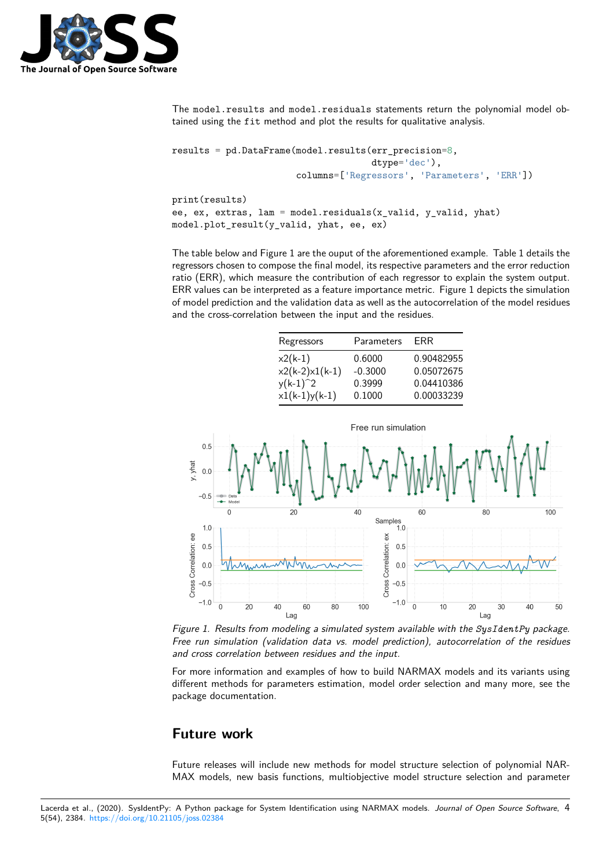

The model.results and model.residuals statements return the polynomial model obtained using the fit method and plot the results for qualitative analysis.

```
results = pd.DataFrame(model.results(err_precision=8,
                                     dtype='dec'),
                       columns=['Regressors', 'Parameters', 'ERR'])
print(results)
ee, ex, extras, lam = model.residuals(x_valid, y_valid, yhat)
model.plot_result(y_valid, yhat, ee, ex)
```
The table below and Figure 1 are the ouput of the aforementioned example. Table 1 details the regressors chosen to compose the final model, its respective parameters and the error reduction ratio (ERR), which measure the contribution of each regressor to explain the system output. ERR values can be interpreted as a feature importance metric. Figure 1 depicts the simulation of model prediction and the validation data as well as the autocorrelation of the model residues and the cross-correlation between the input and the residues.

| Regressors       | Parameters | FRR        |
|------------------|------------|------------|
| $x2(k-1)$        | 0.6000     | 0.90482955 |
| $x2(k-2)x1(k-1)$ | $-0.3000$  | 0.05072675 |
| $y(k-1)^2$       | 0.3999     | 0.04410386 |
| $x1(k-1)y(k-1)$  | 0.1000     | 0.00033239 |



*Figure 1. Results from modeling a simulated system available with the SysIdentPy package. Free run simulation (validation data vs. model prediction), autocorrelation of the residues and cross correlation between residues and the input.*

For more information and examples of how to build NARMAX models and its variants using different methods for parameters estimation, model order selection and many more, see the package documentation.

## **Future work**

Future releases will include new methods for model structure selection of polynomial NAR-MAX models, new basis functions, multiobjective model structure selection and parameter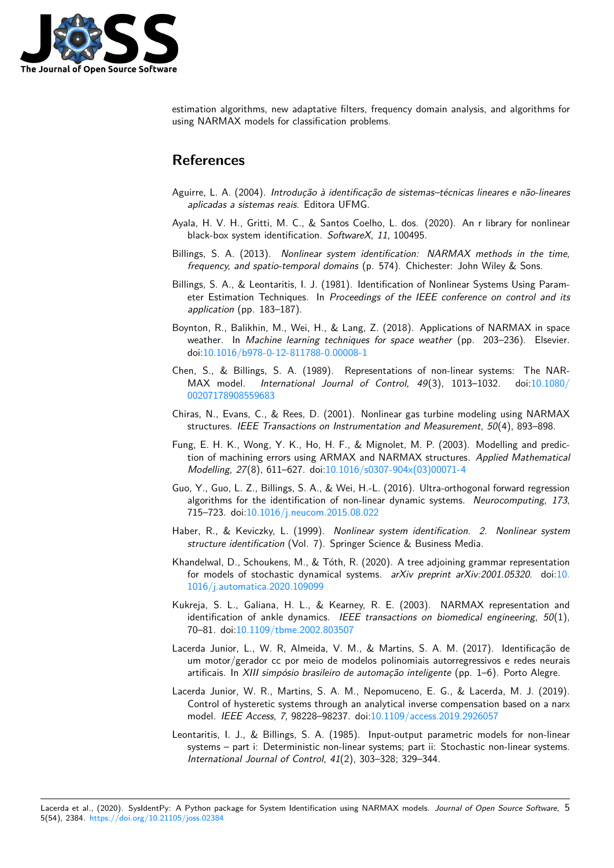

estimation algorithms, new adaptative filters, frequency domain analysis, and algorithms for using NARMAX models for classification problems.

## **References**

- Aguirre, L. A. (2004). *Introdução à identificação de sistemas–técnicas lineares e não-lineares aplicadas a sistemas reais*. Editora UFMG.
- Ayala, H. V. H., Gritti, M. C., & Santos Coelho, L. dos. (2020). An r library for nonlinear black-box system identification. *SoftwareX*, *11*, 100495.
- <span id="page-4-6"></span>Billings, S. A. (2013). *Nonlinear system identification: NARMAX methods in the time, frequency, and spatio-temporal domains* (p. 574). Chichester: John Wiley & Sons.
- <span id="page-4-14"></span>Billings, S. A., & Leontaritis, I. J. (1981). Identification of Nonlinear Systems Using Parameter Estimation Techniques. In *Proceedings of the IEEE conference on control and its application* (pp. 183–187).
- <span id="page-4-1"></span><span id="page-4-0"></span>Boynton, R., Balikhin, M., Wei, H., & Lang, Z. (2018). Applications of NARMAX in space weather. In *Machine learning techniques for space weather* (pp. 203–236). Elsevier. doi:10.1016/b978-0-12-811788-0.00008-1
- <span id="page-4-7"></span>Chen, S., & Billings, S. A. (1989). Representations of non-linear systems: The NAR-MAX model. *International Journal of Control*, *49*(3), 1013–1032. doi:10.1080/ 002[07178908559683](https://doi.org/10.1016/b978-0-12-811788-0.00008-1)
- Chiras, N., Evans, C., & Rees, D. (2001). Nonlinear gas turbine modeling using NARMAX structures. *IEEE Transactions on Instrumentation and Measurement*, *50*(4), 89[3–898.](https://doi.org/10.1080/00207178908559683)
- <span id="page-4-2"></span>Fu[ng, E. H. K., Wong,](https://doi.org/10.1080/00207178908559683) Y. K., Ho, H. F., & Mignolet, M. P. (2003). Modelling and prediction of machining errors using ARMAX and NARMAX structures. *Applied Mathematical Modelling*, *27*(8), 611–627. doi:10.1016/s0307-904x(03)00071-4
- <span id="page-4-9"></span><span id="page-4-8"></span>Guo, Y., Guo, L. Z., Billings, S. A., & Wei, H.-L. (2016). Ultra-orthogonal forward regression algorithms for the identification of non-linear dynamic systems. *Neurocomputing*, *173*, 715–723. doi:10.1016/j.neucom[.2015.08.022](https://doi.org/10.1016/s0307-904x(03)00071-4)
- Haber, R., & Keviczky, L. (1999). *Nonlinear system identification. 2. Nonlinear system structure identification* (Vol. 7). Springer Science & Business Media.
- <span id="page-4-10"></span>Khandelwal, D., [Schoukens, M., & Tóth, R. \(202](https://doi.org/10.1016/j.neucom.2015.08.022)0). A tree adjoining grammar representation for models of stochastic dynamical systems. *arXiv preprint arXiv:2001.05320*. doi:10. 1016/j.automatica.2020.109099
- <span id="page-4-13"></span><span id="page-4-4"></span>Kukreja, S. L., Galiana, H. L., & Kearney, R. E. (2003). NARMAX representation and identification of ankle dynamics. *IEEE transactions on biomedical engineering*, *50*[\(1\),](https://doi.org/10.1016/j.automatica.2020.109099) [70–81. doi:10.1109/tbme.2002.8](https://doi.org/10.1016/j.automatica.2020.109099)03507
- <span id="page-4-11"></span>Lacerda Junior, L., W. R, Almeida, V. M., & Martins, S. A. M. (2017). Identificação de um motor/gerador cc por meio de modelos polinomiais autorregressivos e redes neurais artificais. In *[XIII simpósio brasileiro de](https://doi.org/10.1109/tbme.2002.803507) automação inteligente* (pp. 1–6). Porto Alegre.
- <span id="page-4-5"></span>Lacerda Junior, W. R., Martins, S. A. M., Nepomuceno, E. G., & Lacerda, M. J. (2019). Control of hysteretic systems through an analytical inverse compensation based on a narx model. *IEEE Access*, *7*, 98228–98237. doi:10.1109/access.2019.2926057
- <span id="page-4-12"></span><span id="page-4-3"></span>Leontaritis, I. J., & Billings, S. A. (1985). Input-output parametric models for non-linear systems – part i: Deterministic non-linear systems; part ii: Stochastic non-linear systems. *International Journal of Control*, *41*(2), 30[3–328; 329–344.](https://doi.org/10.1109/access.2019.2926057)